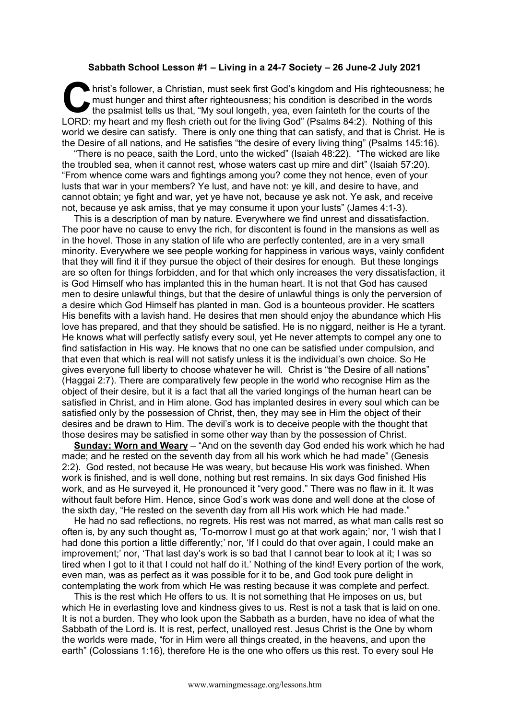## **Sabbath School Lesson #1 – Living in a 24-7 Society – 26 June-2 July 2021**

hrist's follower, a Christian, must seek first God's kingdom and His righteousness; he must hunger and thirst after righteousness; his condition is described in the words the psalmist tells us that, "My soul longeth, yea, must hunger and thirst after righteousness; his condition is described in the words the psalmist tells us that, "My soul longeth, yea, even fainteth for the courts of the LORD: my heart and my flesh crieth out for the living God" (Psalms 84:2). Nothing of this world we desire can satisfy. There is only one thing that can satisfy, and that is Christ. He is the Desire of all nations, and He satisfies "the desire of every living thing" (Psalms 145:16).

"There is no peace, saith the Lord, unto the wicked" (Isaiah 48:22). "The wicked are like the troubled sea, when it cannot rest, whose waters cast up mire and dirt" (Isaiah 57:20). "From whence come wars and fightings among you? come they not hence, even of your lusts that war in your members? Ye lust, and have not: ye kill, and desire to have, and cannot obtain; ye fight and war, yet ye have not, because ye ask not. Ye ask, and receive not, because ye ask amiss, that ye may consume it upon your lusts" (James 4:1-3).

This is a description of man by nature. Everywhere we find unrest and dissatisfaction. The poor have no cause to envy the rich, for discontent is found in the mansions as well as in the hovel. Those in any station of life who are perfectly contented, are in a very small minority. Everywhere we see people working for happiness in various ways, vainly confident that they will find it if they pursue the object of their desires for enough. But these longings are so often for things forbidden, and for that which only increases the very dissatisfaction, it is God Himself who has implanted this in the human heart. It is not that God has caused men to desire unlawful things, but that the desire of unlawful things is only the perversion of a desire which God Himself has planted in man. God is a bounteous provider. He scatters His benefits with a lavish hand. He desires that men should enjoy the abundance which His love has prepared, and that they should be satisfied. He is no niggard, neither is He a tyrant. He knows what will perfectly satisfy every soul, yet He never attempts to compel any one to find satisfaction in His way. He knows that no one can be satisfied under compulsion, and that even that which is real will not satisfy unless it is the individual's own choice. So He gives everyone full liberty to choose whatever he will. Christ is "the Desire of all nations" (Haggai 2:7). There are comparatively few people in the world who recognise Him as the object of their desire, but it is a fact that all the varied longings of the human heart can be satisfied in Christ, and in Him alone. God has implanted desires in every soul which can be satisfied only by the possession of Christ, then, they may see in Him the object of their desires and be drawn to Him. The devil's work is to deceive people with the thought that those desires may be satisfied in some other way than by the possession of Christ.

**Sunday: Worn and Weary** – "And on the seventh day God ended his work which he had made; and he rested on the seventh day from all his work which he had made" (Genesis 2:2). God rested, not because He was weary, but because His work was finished. When work is finished, and is well done, nothing but rest remains. In six days God finished His work, and as He surveyed it, He pronounced it "very good." There was no flaw in it. It was without fault before Him. Hence, since God's work was done and well done at the close of the sixth day, "He rested on the seventh day from all His work which He had made."

He had no sad reflections, no regrets. His rest was not marred, as what man calls rest so often is, by any such thought as, 'To-morrow I must go at that work again;' nor, 'I wish that I had done this portion a little differently;' nor, 'If I could do that over again, I could make an improvement;' nor, 'That last day's work is so bad that I cannot bear to look at it; I was so tired when I got to it that I could not half do it.' Nothing of the kind! Every portion of the work, even man, was as perfect as it was possible for it to be, and God took pure delight in contemplating the work from which He was resting because it was complete and perfect.

This is the rest which He offers to us. It is not something that He imposes on us, but which He in everlasting love and kindness gives to us. Rest is not a task that is laid on one. It is not a burden. They who look upon the Sabbath as a burden, have no idea of what the Sabbath of the Lord is. It is rest, perfect, unalloyed rest. Jesus Christ is the One by whom the worlds were made, "for in Him were all things created, in the heavens, and upon the earth" (Colossians 1:16), therefore He is the one who offers us this rest. To every soul He